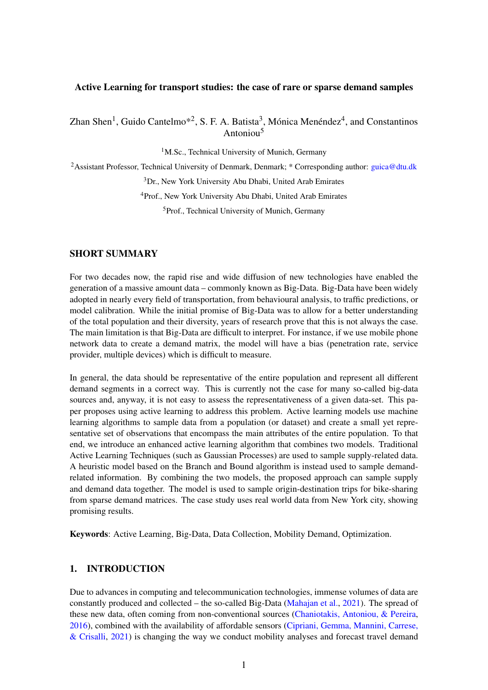#### Active Learning for transport studies: the case of rare or sparse demand samples

Zhan Shen<sup>1</sup>, Guido Cantelmo<sup>\*2</sup>, S. F. A. Batista<sup>3</sup>, Mónica Menéndez<sup>4</sup>, and Constantinos Antoniou<sup>5</sup>

<sup>1</sup>M.Sc., Technical University of Munich, Germany

<sup>2</sup>Assistant Professor, Technical University of Denmark, Denmark; \* Corresponding author: *[guica@dtu.dk](mailto:guica@dtu.dk)* 

<sup>3</sup>Dr., New York University Abu Dhabi, United Arab Emirates

<sup>4</sup>Prof., New York University Abu Dhabi, United Arab Emirates

<sup>5</sup>Prof., Technical University of Munich, Germany

#### SHORT SUMMARY

For two decades now, the rapid rise and wide diffusion of new technologies have enabled the generation of a massive amount data – commonly known as Big-Data. Big-Data have been widely adopted in nearly every field of transportation, from behavioural analysis, to traffic predictions, or model calibration. While the initial promise of Big-Data was to allow for a better understanding of the total population and their diversity, years of research prove that this is not always the case. The main limitation is that Big-Data are difficult to interpret. For instance, if we use mobile phone network data to create a demand matrix, the model will have a bias (penetration rate, service provider, multiple devices) which is difficult to measure.

In general, the data should be representative of the entire population and represent all different demand segments in a correct way. This is currently not the case for many so-called big-data sources and, anyway, it is not easy to assess the representativeness of a given data-set. This paper proposes using active learning to address this problem. Active learning models use machine learning algorithms to sample data from a population (or dataset) and create a small yet representative set of observations that encompass the main attributes of the entire population. To that end, we introduce an enhanced active learning algorithm that combines two models. Traditional Active Learning Techniques (such as Gaussian Processes) are used to sample supply-related data. A heuristic model based on the Branch and Bound algorithm is instead used to sample demandrelated information. By combining the two models, the proposed approach can sample supply and demand data together. The model is used to sample origin-destination trips for bike-sharing from sparse demand matrices. The case study uses real world data from New York city, showing promising results.

Keywords: Active Learning, Big-Data, Data Collection, Mobility Demand, Optimization.

# 1. INTRODUCTION

Due to advances in computing and telecommunication technologies, immense volumes of data are constantly produced and collected – the so-called Big-Data [\(Mahajan et al.,](#page-6-0) [2021\)](#page-6-0). The spread of these new data, often coming from non-conventional sources [\(Chaniotakis, Antoniou, & Pereira,](#page-5-0) [2016\)](#page-5-0), combined with the availability of affordable sensors [\(Cipriani, Gemma, Mannini, Carrese,](#page-5-1)  $\&$  Crisalli, [2021\)](#page-5-1) is changing the way we conduct mobility analyses and forecast travel demand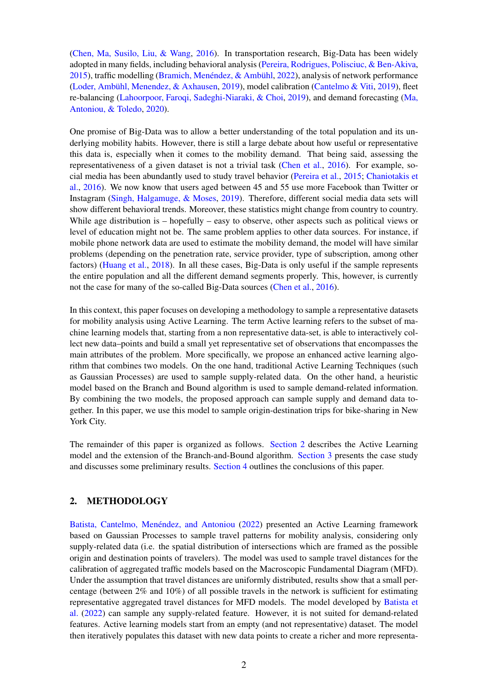[\(Chen, Ma, Susilo, Liu, & Wang,](#page-5-2) [2016\)](#page-5-2). In transportation research, Big-Data has been widely adopted in many fields, including behavioral analysis [\(Pereira, Rodrigues, Polisciuc, & Ben-Akiva,](#page-6-1) [2015\)](#page-6-1), traffic modelling [\(Bramich, Menéndez, & Ambühl,](#page-5-3) [2022\)](#page-5-3), analysis of network performance [\(Loder, Ambühl, Menendez, & Axhausen,](#page-6-2) [2019\)](#page-6-2), model calibration [\(Cantelmo & Viti,](#page-5-4) [2019\)](#page-5-4), fleet re-balancing [\(Lahoorpoor, Faroqi, Sadeghi-Niaraki, & Choi,](#page-6-3) [2019\)](#page-6-3), and demand forecasting [\(Ma,](#page-6-4) [Antoniou, & Toledo,](#page-6-4) [2020\)](#page-6-4).

One promise of Big-Data was to allow a better understanding of the total population and its underlying mobility habits. However, there is still a large debate about how useful or representative this data is, especially when it comes to the mobility demand. That being said, assessing the representativeness of a given dataset is not a trivial task [\(Chen et al.,](#page-5-2) [2016\)](#page-5-2). For example, social media has been abundantly used to study travel behavior [\(Pereira et al.,](#page-6-1) [2015;](#page-6-1) [Chaniotakis et](#page-5-0) [al.,](#page-5-0) [2016\)](#page-5-0). We now know that users aged between 45 and 55 use more Facebook than Twitter or Instagram [\(Singh, Halgamuge, & Moses,](#page-6-5) [2019\)](#page-6-5). Therefore, different social media data sets will show different behavioral trends. Moreover, these statistics might change from country to country. While age distribution is – hopefully – easy to observe, other aspects such as political views or level of education might not be. The same problem applies to other data sources. For instance, if mobile phone network data are used to estimate the mobility demand, the model will have similar problems (depending on the penetration rate, service provider, type of subscription, among other factors) [\(Huang et al.,](#page-6-6) [2018\)](#page-6-6). In all these cases, Big-Data is only useful if the sample represents the entire population and all the different demand segments properly. This, however, is currently not the case for many of the so-called Big-Data sources [\(Chen et al.,](#page-5-2) [2016\)](#page-5-2).

In this context, this paper focuses on developing a methodology to sample a representative datasets for mobility analysis using Active Learning. The term Active learning refers to the subset of machine learning models that, starting from a non representative data-set, is able to interactively collect new data–points and build a small yet representative set of observations that encompasses the main attributes of the problem. More specifically, we propose an enhanced active learning algorithm that combines two models. On the one hand, traditional Active Learning Techniques (such as Gaussian Processes) are used to sample supply-related data. On the other hand, a heuristic model based on the Branch and Bound algorithm is used to sample demand-related information. By combining the two models, the proposed approach can sample supply and demand data together. In this paper, we use this model to sample origin-destination trips for bike-sharing in New York City.

The remainder of this paper is organized as follows. [Section 2](#page-1-0) describes the Active Learning model and the extension of the Branch-and-Bound algorithm. [Section 3](#page-2-0) presents the case study and discusses some preliminary results. [Section 4](#page-5-5) outlines the conclusions of this paper.

## <span id="page-1-0"></span>2. METHODOLOGY

[Batista, Cantelmo, Menéndez, and Antoniou](#page-5-6) [\(2022\)](#page-5-6) presented an Active Learning framework based on Gaussian Processes to sample travel patterns for mobility analysis, considering only supply-related data (i.e. the spatial distribution of intersections which are framed as the possible origin and destination points of travelers). The model was used to sample travel distances for the calibration of aggregated traffic models based on the Macroscopic Fundamental Diagram (MFD). Under the assumption that travel distances are uniformly distributed, results show that a small percentage (between 2% and 10%) of all possible travels in the network is sufficient for estimating representative aggregated travel distances for MFD models. The model developed by [Batista et](#page-5-6) [al.](#page-5-6) [\(2022\)](#page-5-6) can sample any supply-related feature. However, it is not suited for demand-related features. Active learning models start from an empty (and not representative) dataset. The model then iteratively populates this dataset with new data points to create a richer and more representa-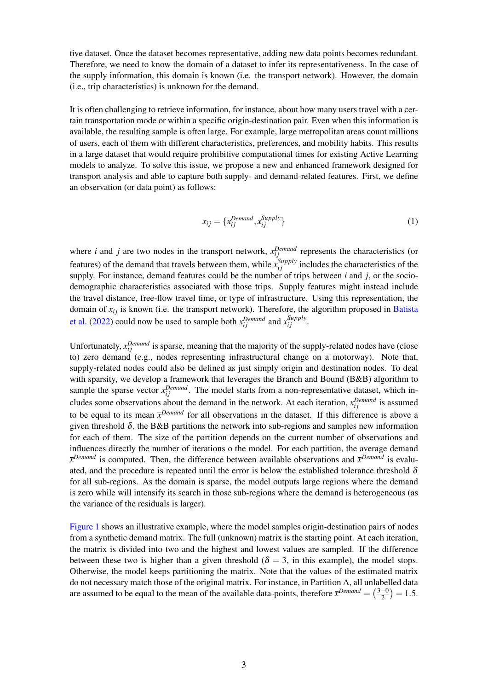tive dataset. Once the dataset becomes representative, adding new data points becomes redundant. Therefore, we need to know the domain of a dataset to infer its representativeness. In the case of the supply information, this domain is known (i.e. the transport network). However, the domain (i.e., trip characteristics) is unknown for the demand.

It is often challenging to retrieve information, for instance, about how many users travel with a certain transportation mode or within a specific origin-destination pair. Even when this information is available, the resulting sample is often large. For example, large metropolitan areas count millions of users, each of them with different characteristics, preferences, and mobility habits. This results in a large dataset that would require prohibitive computational times for existing Active Learning models to analyze. To solve this issue, we propose a new and enhanced framework designed for transport analysis and able to capture both supply- and demand-related features. First, we define an observation (or data point) as follows:

$$
x_{ij} = \{x_{ij}^{Demand}, x_{ij}^{Supply}\}\tag{1}
$$

where *i* and *j* are two nodes in the transport network,  $x_{ij}^{Demand}$  represents the characteristics (or features) of the demand that travels between them, while  $x_{ij}^{Supply}$  includes the characteristics of the supply. For instance, demand features could be the number of trips between *i* and *j*, or the sociodemographic characteristics associated with those trips. Supply features might instead include the travel distance, free-flow travel time, or type of infrastructure. Using this representation, the domain of  $x_{ij}$  is known (i.e. the transport network). Therefore, the algorithm proposed in [Batista](#page-5-6) [et al.](#page-5-6) [\(2022\)](#page-5-6) could now be used to sample both  $x_{ij}^{Demand}$  and  $x_{ij}^{Supply}$ .

Unfortunately,  $x_{ij}^{Demand}$  is sparse, meaning that the majority of the supply-related nodes have (close to) zero demand (e.g., nodes representing infrastructural change on a motorway). Note that, supply-related nodes could also be defined as just simply origin and destination nodes. To deal with sparsity, we develop a framework that leverages the Branch and Bound (B&B) algorithm to sample the sparse vector  $x_{ij}^{Demand}$ . The model starts from a non-representative dataset, which includes some observations about the demand in the network. At each iteration,  $x_{ij}^{Demand}$  is assumed to be equal to its mean  $\bar{x}^{Denand}$  for all observations in the dataset. If this difference is above a given threshold  $\delta$ , the B&B partitions the network into sub-regions and samples new information for each of them. The size of the partition depends on the current number of observations and influences directly the number of iterations o the model. For each partition, the average demand *x Demand* is computed. Then, the difference between available observations and *x Demand* is evaluated, and the procedure is repeated until the error is below the established tolerance threshold  $\delta$ for all sub-regions. As the domain is sparse, the model outputs large regions where the demand is zero while will intensify its search in those sub-regions where the demand is heterogeneous (as the variance of the residuals is larger).

<span id="page-2-0"></span>[Figure 1](#page-3-0) shows an illustrative example, where the model samples origin-destination pairs of nodes from a synthetic demand matrix. The full (unknown) matrix is the starting point. At each iteration, the matrix is divided into two and the highest and lowest values are sampled. If the difference between these two is higher than a given threshold ( $\delta = 3$ , in this example), the model stops. Otherwise, the model keeps partitioning the matrix. Note that the values of the estimated matrix do not necessary match those of the original matrix. For instance, in Partition A, all unlabelled data are assumed to be equal to the mean of the available data-points, therefore  $\bar{x}^{Domain} = (\frac{3-0}{2})$  $\frac{-0}{2}$ ) = 1.5.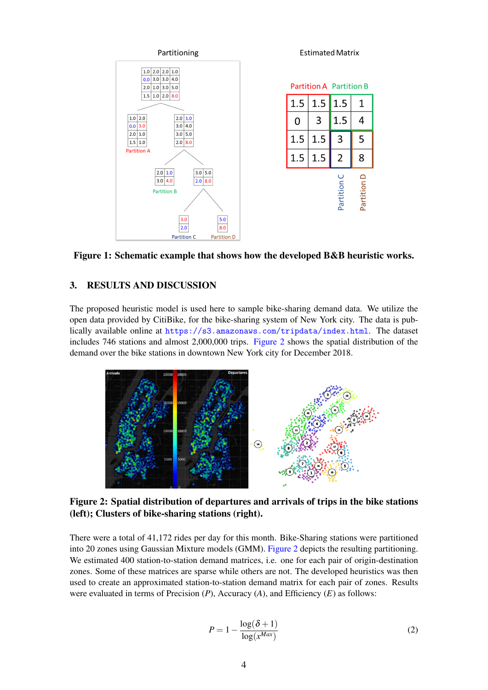<span id="page-3-0"></span>

Figure 1: Schematic example that shows how the developed B&B heuristic works.

# 3. RESULTS AND DISCUSSION

The proposed heuristic model is used here to sample bike-sharing demand data. We utilize the open data provided by CitiBike, for the bike-sharing system of New York city. The data is publically available online at <https://s3.amazonaws.com/tripdata/index.html>. The dataset includes 746 stations and almost 2,000,000 trips. [Figure 2](#page-3-1) shows the spatial distribution of the demand over the bike stations in downtown New York city for December 2018.

<span id="page-3-1"></span>

Figure 2: Spatial distribution of departures and arrivals of trips in the bike stations (left); Clusters of bike-sharing stations (right).

There were a total of 41,172 rides per day for this month. Bike-Sharing stations were partitioned into 20 zones using Gaussian Mixture models (GMM). [Figure 2](#page-3-1) depicts the resulting partitioning. We estimated 400 station-to-station demand matrices, i.e. one for each pair of origin-destination zones. Some of these matrices are sparse while others are not. The developed heuristics was then used to create an approximated station-to-station demand matrix for each pair of zones. Results were evaluated in terms of Precision (*P*), Accuracy (*A*), and Efficiency (*E*) as follows:

$$
P = 1 - \frac{\log(\delta + 1)}{\log(x^{Max})}
$$
 (2)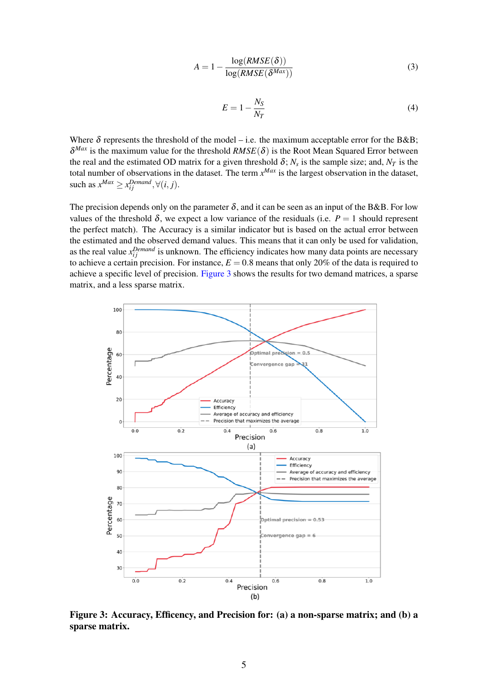$$
A = 1 - \frac{\log(RMSE(\delta))}{\log(RMSE(\delta^{Max}))}
$$
\n(3)

$$
E = 1 - \frac{N_S}{N_T} \tag{4}
$$

Where  $\delta$  represents the threshold of the model – i.e. the maximum acceptable error for the B&B;  $\delta^{Max}$  is the maximum value for the threshold  $RMSE(\delta)$  is the Root Mean Squared Error between the real and the estimated OD matrix for a given threshold  $\delta$ ;  $N_s$  is the sample size; and,  $N_T$  is the total number of observations in the dataset. The term *x Max* is the largest observation in the dataset, such as  $x^{Max} \ge x_{ij}^{Demand}, \forall (i, j).$ 

The precision depends only on the parameter  $\delta$ , and it can be seen as an input of the B&B. For low values of the threshold  $\delta$ , we expect a low variance of the residuals (i.e.  $P = 1$  should represent the perfect match). The Accuracy is a similar indicator but is based on the actual error between the estimated and the observed demand values. This means that it can only be used for validation, as the real value  $x_{ij}^{Demand}$  is unknown. The efficiency indicates how many data points are necessary to achieve a certain precision. For instance,  $E = 0.8$  means that only 20% of the data is required to achieve a specific level of precision. [Figure 3](#page-4-0) shows the results for two demand matrices, a sparse matrix, and a less sparse matrix.

<span id="page-4-0"></span>

Figure 3: Accuracy, Efficency, and Precision for: (a) a non-sparse matrix; and (b) a sparse matrix.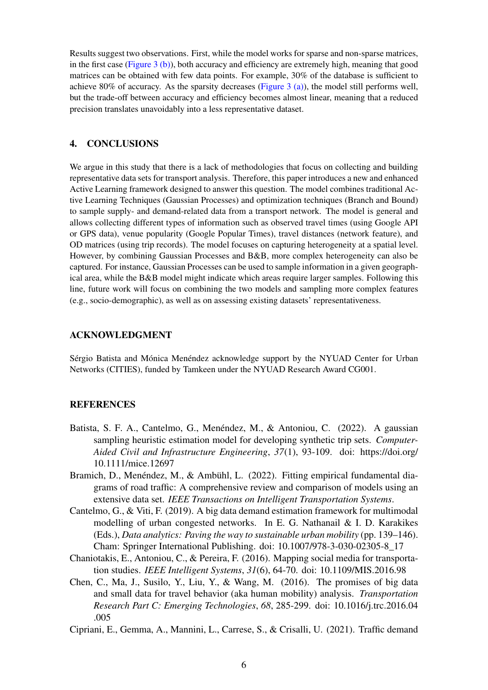Results suggest two observations. First, while the model works for sparse and non-sparse matrices, in the first case [\(Figure 3 \(b\)\)](#page-4-0), both accuracy and efficiency are extremely high, meaning that good matrices can be obtained with few data points. For example, 30% of the database is sufficient to achieve 80% of accuracy. As the sparsity decreases [\(Figure 3 \(a\)\)](#page-4-0), the model still performs well, but the trade-off between accuracy and efficiency becomes almost linear, meaning that a reduced precision translates unavoidably into a less representative dataset.

### <span id="page-5-5"></span>4. CONCLUSIONS

We argue in this study that there is a lack of methodologies that focus on collecting and building representative data sets for transport analysis. Therefore, this paper introduces a new and enhanced Active Learning framework designed to answer this question. The model combines traditional Active Learning Techniques (Gaussian Processes) and optimization techniques (Branch and Bound) to sample supply- and demand-related data from a transport network. The model is general and allows collecting different types of information such as observed travel times (using Google API or GPS data), venue popularity (Google Popular Times), travel distances (network feature), and OD matrices (using trip records). The model focuses on capturing heterogeneity at a spatial level. However, by combining Gaussian Processes and B&B, more complex heterogeneity can also be captured. For instance, Gaussian Processes can be used to sample information in a given geographical area, while the B&B model might indicate which areas require larger samples. Following this line, future work will focus on combining the two models and sampling more complex features (e.g., socio-demographic), as well as on assessing existing datasets' representativeness.

### ACKNOWLEDGMENT

Sérgio Batista and Mónica Menéndez acknowledge support by the NYUAD Center for Urban Networks (CITIES), funded by Tamkeen under the NYUAD Research Award CG001.

### **REFERENCES**

- <span id="page-5-6"></span>Batista, S. F. A., Cantelmo, G., Menéndez, M., & Antoniou, C. (2022). A gaussian sampling heuristic estimation model for developing synthetic trip sets. *Computer-Aided Civil and Infrastructure Engineering*, *37*(1), 93-109. doi: https://doi.org/ 10.1111/mice.12697
- <span id="page-5-3"></span>Bramich, D., Menéndez, M., & Ambühl, L. (2022). Fitting empirical fundamental diagrams of road traffic: A comprehensive review and comparison of models using an extensive data set. *IEEE Transactions on Intelligent Transportation Systems*.
- <span id="page-5-4"></span>Cantelmo, G., & Viti, F. (2019). A big data demand estimation framework for multimodal modelling of urban congested networks. In E. G. Nathanail & I. D. Karakikes (Eds.), *Data analytics: Paving the way to sustainable urban mobility* (pp. 139–146). Cham: Springer International Publishing. doi: 10.1007/978-3-030-02305-8\_17
- <span id="page-5-0"></span>Chaniotakis, E., Antoniou, C., & Pereira, F. (2016). Mapping social media for transportation studies. *IEEE Intelligent Systems*, *31*(6), 64-70. doi: 10.1109/MIS.2016.98
- <span id="page-5-2"></span>Chen, C., Ma, J., Susilo, Y., Liu, Y., & Wang, M. (2016). The promises of big data and small data for travel behavior (aka human mobility) analysis. *Transportation Research Part C: Emerging Technologies*, *68*, 285-299. doi: 10.1016/j.trc.2016.04 .005
- <span id="page-5-1"></span>Cipriani, E., Gemma, A., Mannini, L., Carrese, S., & Crisalli, U. (2021). Traffic demand